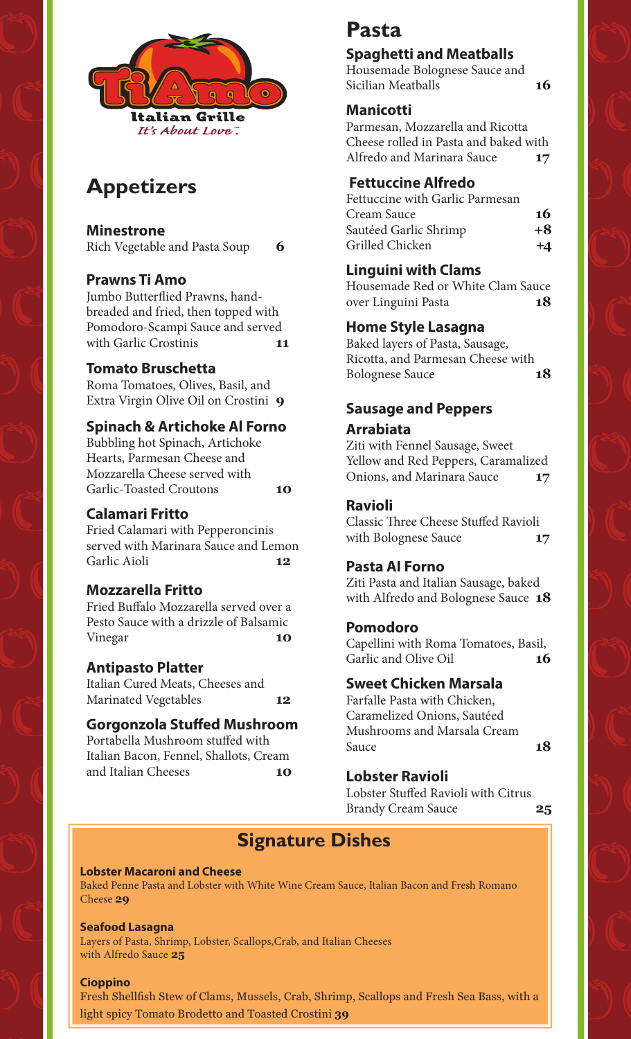

# **Appetizers**

**Minestrone** 

Rich Vegetable and Pasta Soup **6**

### **Prawns Ti Amo**

Jumbo Butterflied Prawns, handbreaded and fried, then topped with Pomodoro-Scampi Sauce and served with Garlic Crostinis **11**

#### **Tomato Bruschetta**

Roma Tomatoes, Olives, Basil, and Extra Virgin Olive Oil on Crostini **9**

#### **Spinach & Artichoke Al Forno**

Bubbling hot Spinach, Artichoke Hearts, Parmesan Cheese and Mozzarella Cheese served with Garlic-Toasted Croutons **10**

### **Calamari Fritto**

Fried Calamari with Pepperoncinis served with Marinara Sauce and Lemon Garlic Aioli **12** 

#### **Mozzarella Fritto**

Fried Buffalo Mozzarella served over a Pesto Sauce with a drizzle of Balsamic Vinegar **10**

### **Antipasto Platter**

Italian Cured Meats, Cheeses and Marinated Vegetables **12**

### **Gorgonzola Stuffed Mushroom**

Portabella Mushroom stuffed with Italian Bacon, Fennel, Shallots, Cream and Italian Cheeses **10**

# **Pasta**

## **Spaghetti and Meatballs**

Housemade Bolognese Sauce and Sicilian Meatballs **16**

### **Manicotti**

Parmesan, Mozzarella and Ricotta Cheese rolled in Pasta and baked with Alfredo and Marinara Sauce **17**

### **Fettuccine Alfredo**

Fettuccine with Garlic Parmesan Cream Sauce **16** Sautéed Garlic Shrimp **+8** Grilled Chicken **+4**

### **Linguini with Clams**

Housemade Red or White Clam Sauce over Linguini Pasta **<sup>18</sup>** 

### **Home Style Lasagna**

Baked layers of Pasta, Sausage, Ricotta, and Parmesan Cheese with Bolognese Sauce **18**

### **Sausage and Peppers Arrabiata**

Ziti with Fennel Sausage, Sweet Yellow and Red Peppers, Caramalized Onions, and Marinara Sauce **17**

### **Ravioli**

Classic Three Cheese Stuffed Ravioli with Bolognese Sauce **17** 

### **Pasta AI Forno**

Ziti Pasta and Italian Sausage, baked with Alfredo and Bolognese Sauce **18**

#### **Pomodoro**

Capellini with Roma Tomatoes, Basil, Garlic and Olive Oil **16** 

#### **Sweet Chicken Marsala**

Farfalle Pasta with Chicken, Caramelized Onions, Sautéed Mushrooms and Marsala Cream Sauce **18** 

#### **Lobster Ravioli**

Lobster Stuffed Ravioli with Citrus Brandy Cream Sauce **25**

# **Signature Dishes**

#### **Lobster Macaroni and Cheese**

Baked Penne Pasta and Lobster with White Wine Cream Sauce, Italian Bacon and Fresh Romano Cheese **29**

#### **Seafood Lasagna**

Layers of Pasta, Shrimp, Lobster, Scallops,Crab, and Italian Cheeses with Alfredo Sauce **25**

#### **Cioppino**

Fresh Shellfish Stew of Clams, Mussels, Crab, Shrimp, Scallops and Fresh Sea Bass, with a light spicy Tomato Brodetto and Toasted Crostini **39**